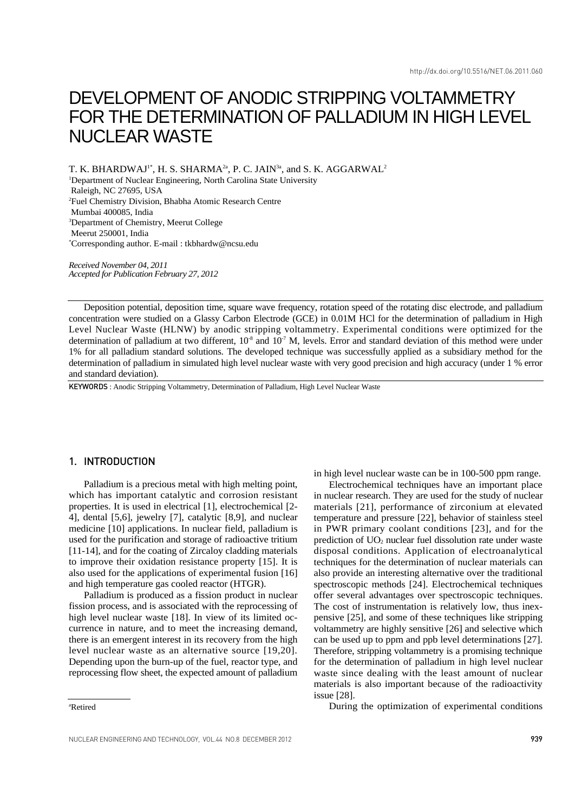# DEVELOPMENT OF ANODIC STRIPPING VOLTAMMETRY FOR THE DETERMINATION OF PALLADIUM IN HIGH LEVEL NUCLEAR WASTE

T. K. BHARDWAJ<sup>1\*</sup>, H. S. SHARMA<sup>2a</sup>, P. C. JAIN<sup>3a</sup>, and S. K. AGGARWAL<sup>2</sup> <sup>1</sup>Department of Nuclear Engineering, North Carolina State University

Raleigh, NC 27695, USA

2 Fuel Chemistry Division, Bhabha Atomic Research Centre

Mumbai 400085, India

3 Department of Chemistry, Meerut College Meerut 250001, India

\* Corresponding author. E-mail : tkbhardw@ncsu.edu

*Received November 04, 2011 Accepted for Publication February 27, 2012*

Deposition potential, deposition time, square wave frequency, rotation speed of the rotating disc electrode, and palladium concentration were studied on a Glassy Carbon Electrode (GCE) in 0.01M HCl for the determination of palladium in High Level Nuclear Waste (HLNW) by anodic stripping voltammetry. Experimental conditions were optimized for the determination of palladium at two different,  $10^8$  and  $10^7$  M, levels. Error and standard deviation of this method were under 1% for all palladium standard solutions. The developed technique was successfully applied as a subsidiary method for the determination of palladium in simulated high level nuclear waste with very good precision and high accuracy (under 1 % error and standard deviation).

KEYWORDS : Anodic Stripping Voltammetry, Determination of Palladium, High Level Nuclear Waste

# 1. INTRODUCTION

Palladium is a precious metal with high melting point, which has important catalytic and corrosion resistant properties. It is used in electrical [1], electrochemical [2- 4], dental [5,6], jewelry [7], catalytic [8,9], and nuclear medicine [10] applications. In nuclear field, palladium is used for the purification and storage of radioactive tritium [11-14], and for the coating of Zircaloy cladding materials to improve their oxidation resistance property [15]. It is also used for the applications of experimental fusion [16] and high temperature gas cooled reactor (HTGR).

Palladium is produced as a fission product in nuclear fission process, and is associated with the reprocessing of high level nuclear waste [18]. In view of its limited occurrence in nature, and to meet the increasing demand, there is an emergent interest in its recovery from the high level nuclear waste as an alternative source [19,20]. Depending upon the burn-up of the fuel, reactor type, and reprocessing flow sheet, the expected amount of palladium

a Retired

in high level nuclear waste can be in 100-500 ppm range.

Electrochemical techniques have an important place in nuclear research. They are used for the study of nuclear materials [21], performance of zirconium at elevated temperature and pressure [22], behavior of stainless steel in PWR primary coolant conditions [23], and for the prediction of UO2 nuclear fuel dissolution rate under waste disposal conditions. Application of electroanalytical techniques for the determination of nuclear materials can also provide an interesting alternative over the traditional spectroscopic methods [24]. Electrochemical techniques offer several advantages over spectroscopic techniques. The cost of instrumentation is relatively low, thus inexpensive [25], and some of these techniques like stripping voltammetry are highly sensitive [26] and selective which can be used up to ppm and ppb level determinations [27]. Therefore, stripping voltammetry is a promising technique for the determination of palladium in high level nuclear waste since dealing with the least amount of nuclear materials is also important because of the radioactivity issue [28].

During the optimization of experimental conditions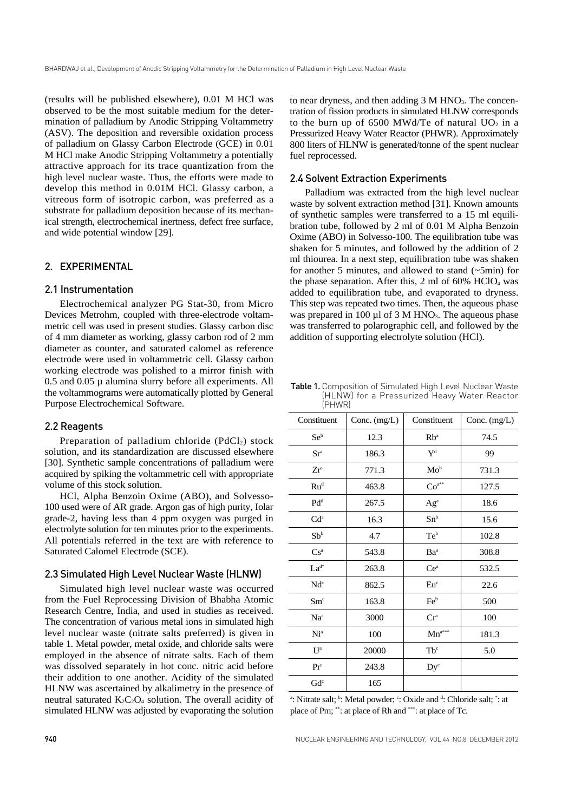(results will be published elsewhere), 0.01 M HCl was observed to be the most suitable medium for the determination of palladium by Anodic Stripping Voltammetry (ASV). The deposition and reversible oxidation process of palladium on Glassy Carbon Electrode (GCE) in 0.01 M HCl make Anodic Stripping Voltammetry a potentially attractive approach for its trace quantization from the high level nuclear waste. Thus, the efforts were made to develop this method in 0.01M HCl. Glassy carbon, a vitreous form of isotropic carbon, was preferred as a substrate for palladium deposition because of its mechanical strength, electrochemical inertness, defect free surface, and wide potential window [29].

## 2. EXPERIMENTAL

# 2.1 Instrumentation

Electrochemical analyzer PG Stat-30, from Micro Devices Metrohm, coupled with three-electrode voltammetric cell was used in present studies. Glassy carbon disc of 4 mm diameter as working, glassy carbon rod of 2 mm diameter as counter, and saturated calomel as reference electrode were used in voltammetric cell. Glassy carbon working electrode was polished to a mirror finish with 0.5 and 0.05 µ alumina slurry before all experiments. All the voltammograms were automatically plotted by General Purpose Electrochemical Software.

## 2.2 Reagents

Preparation of palladium chloride  $(PdCl<sub>2</sub>)$  stock solution, and its standardization are discussed elsewhere [30]. Synthetic sample concentrations of palladium were acquired by spiking the voltammetric cell with appropriate volume of this stock solution.

HCl, Alpha Benzoin Oxime (ABO), and Solvesso-100 used were of AR grade. Argon gas of high purity, Iolar grade-2, having less than 4 ppm oxygen was purged in electrolyte solution for ten minutes prior to the experiments. All potentials referred in the text are with reference to Saturated Calomel Electrode (SCE).

## 2.3 Simulated High Level Nuclear Waste (HLNW)

Simulated high level nuclear waste was occurred from the Fuel Reprocessing Division of Bhabha Atomic Research Centre, India, and used in studies as received. The concentration of various metal ions in simulated high level nuclear waste (nitrate salts preferred) is given in table 1. Metal powder, metal oxide, and chloride salts were employed in the absence of nitrate salts. Each of them was dissolved separately in hot conc. nitric acid before their addition to one another. Acidity of the simulated HLNW was ascertained by alkalimetry in the presence of neutral saturated  $K_2C_2O_4$  solution. The overall acidity of simulated HLNW was adjusted by evaporating the solution

to near dryness, and then adding 3 M HNO<sub>3</sub>. The concentration of fission products in simulated HLNW corresponds to the burn up of 6500 MWd/Te of natural  $UO<sub>2</sub>$  in a Pressurized Heavy Water Reactor (PHWR). Approximately 800 liters of HLNW is generated/tonne of the spent nuclear fuel reprocessed.

# 2.4 Solvent Extraction Experiments

Palladium was extracted from the high level nuclear waste by solvent extraction method [31]. Known amounts of synthetic samples were transferred to a 15 ml equilibration tube, followed by 2 ml of 0.01 M Alpha Benzoin Oxime (ABO) in Solvesso-100. The equilibration tube was shaken for 5 minutes, and followed by the addition of 2 ml thiourea. In a next step, equilibration tube was shaken for another 5 minutes, and allowed to stand (~5min) for the phase separation. After this, 2 ml of  $60\%$  HClO<sub>4</sub> was added to equilibration tube, and evaporated to dryness. This step was repeated two times. Then, the aqueous phase was prepared in 100  $\mu$ l of 3 M HNO<sub>3</sub>. The aqueous phase was transferred to polarographic cell, and followed by the addition of supporting electrolyte solution (HCl).

Table 1. Composition of Simulated High Level Nuclear Waste (HLNW) for a Pressurized Heavy Water Reactor (PHWR)

| Constituent             | Conc. (mg/L) | Constituent             | Conc. (mg/L) |
|-------------------------|--------------|-------------------------|--------------|
| $Se^b$                  | 12.3         | $Rb^a$                  | 74.5         |
| Sr <sup>a</sup>         | 186.3        | $\mathbf{Y}^{\text{d}}$ | 99           |
| $Zr^a$                  | 771.3        | $Mo^b$                  | 731.3        |
| $Ru^{d}$                | 463.8        | $Co^{a**}$              | 127.5        |
| $Pd^d$                  | 267.5        | Ag <sup>a</sup>         | 18.6         |
| Cd <sup>a</sup>         | 16.3         | $Sn^b$                  | 15.6         |
| Sb <sup>b</sup>         | 4.7          | $Te^b$                  | 102.8        |
| Cs <sup>a</sup>         | 543.8        | Ba <sup>a</sup>         | 308.8        |
| $La^{d*}$               | 263.8        | Ce <sup>a</sup>         | 532.5        |
| Nd <sup>c</sup>         | 862.5        | Eu <sup>c</sup>         | 22.6         |
| Sm <sup>c</sup>         | 163.8        | Feb                     | 500          |
| Na <sup>a</sup>         | 3000         | Cr <sup>a</sup>         | 100          |
| Ni <sup>a</sup>         | 100          | $Mn^{a***}$             | 181.3        |
| $\mathbf{U}^{\text{a}}$ | 20000        | $Tb^c$                  | 5.0          |
| Pr <sup>c</sup>         | 243.8        | $Dy^c$                  |              |
| $Gd^c$                  | 165          |                         |              |

<sup>a</sup>: Nitrate salt; <sup>b</sup>: Metal powder; <sup>c</sup>: Oxide and <sup>d</sup>: Chloride salt; <sup>\*</sup>: at place of Pm; \*\*: at place of Rh and \*\*\*: at place of Tc.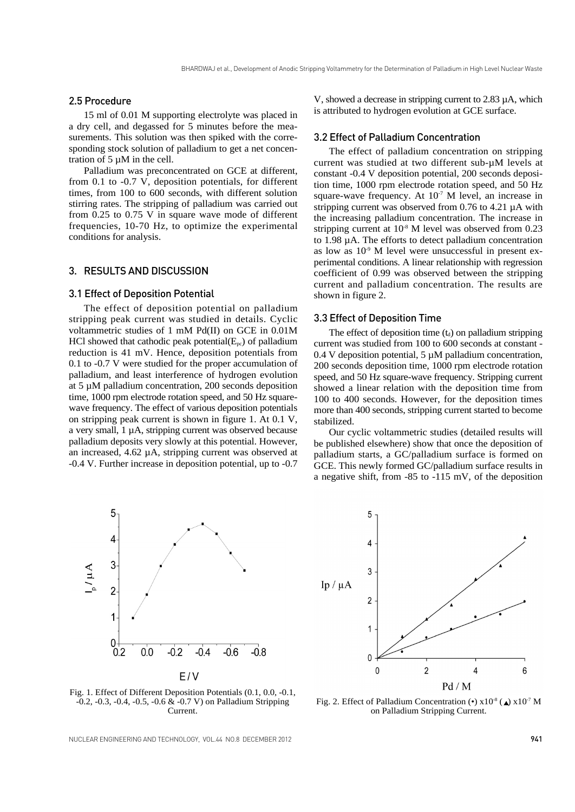# 2.5 Procedure

15 ml of 0.01 M supporting electrolyte was placed in a dry cell, and degassed for 5 minutes before the measurements. This solution was then spiked with the corresponding stock solution of palladium to get a net concentration of 5 µM in the cell.

Palladium was preconcentrated on GCE at different, from 0.1 to -0.7 V, deposition potentials, for different times, from 100 to 600 seconds, with different solution stirring rates. The stripping of palladium was carried out from 0.25 to 0.75 V in square wave mode of different frequencies, 10-70 Hz, to optimize the experimental conditions for analysis.

# 3. RESULTS AND DISCUSSION

## 3.1 Effect of Deposition Potential

The effect of deposition potential on palladium stripping peak current was studied in details. Cyclic voltammetric studies of 1 mM Pd(II) on GCE in 0.01M HCl showed that cathodic peak potential( $E_{pc}$ ) of palladium reduction is 41 mV. Hence, deposition potentials from 0.1 to -0.7 V were studied for the proper accumulation of palladium, and least interference of hydrogen evolution at 5 µM palladium concentration, 200 seconds deposition time, 1000 rpm electrode rotation speed, and 50 Hz squarewave frequency. The effect of various deposition potentials on stripping peak current is shown in figure 1. At 0.1 V, a very small, 1 µA, stripping current was observed because palladium deposits very slowly at this potential. However, an increased, 4.62 µA, stripping current was observed at -0.4 V. Further increase in deposition potential, up to -0.7



V, showed a decrease in stripping current to 2.83 µA, which is attributed to hydrogen evolution at GCE surface.

#### 3.2 Effect of Palladium Concentration

The effect of palladium concentration on stripping current was studied at two different sub-µM levels at constant -0.4 V deposition potential, 200 seconds deposition time, 1000 rpm electrode rotation speed, and 50 Hz square-wave frequency. At  $10^{-7}$  M level, an increase in stripping current was observed from 0.76 to 4.21 µA with the increasing palladium concentration. The increase in stripping current at  $10^{-8}$  M level was observed from 0.23 to 1.98 µA. The efforts to detect palladium concentration as low as  $10^{-9}$  M level were unsuccessful in present experimental conditions. A linear relationship with regression coefficient of 0.99 was observed between the stripping current and palladium concentration. The results are shown in figure 2.

## 3.3 Effect of Deposition Time

The effect of deposition time  $(t_d)$  on palladium stripping current was studied from 100 to 600 seconds at constant - 0.4 V deposition potential, 5 µM palladium concentration, 200 seconds deposition time, 1000 rpm electrode rotation speed, and 50 Hz square-wave frequency. Stripping current showed a linear relation with the deposition time from 100 to 400 seconds. However, for the deposition times more than 400 seconds, stripping current started to become stabilized.

Our cyclic voltammetric studies (detailed results will be published elsewhere) show that once the deposition of palladium starts, a GC/palladium surface is formed on GCE. This newly formed GC/palladium surface results in a negative shift, from -85 to -115 mV, of the deposition



Fig. 1. Effect of Different Deposition Potentials (0.1, 0.0, -0.1,  $-0.2, -0.3, -0.4, -0.5, -0.6$  &  $-0.7$  V) on Palladium Stripping Current.

Fig. 2. Effect of Palladium Concentration (•)  $x10^{-8}$  ( $\triangle$ )  $x10^{-7}$  M on Palladium Stripping Current.

NUCLEAR ENGINEERING AND TECHNOLOGY, VOL.44 NO.8 DECEMBER 2012 **941 941**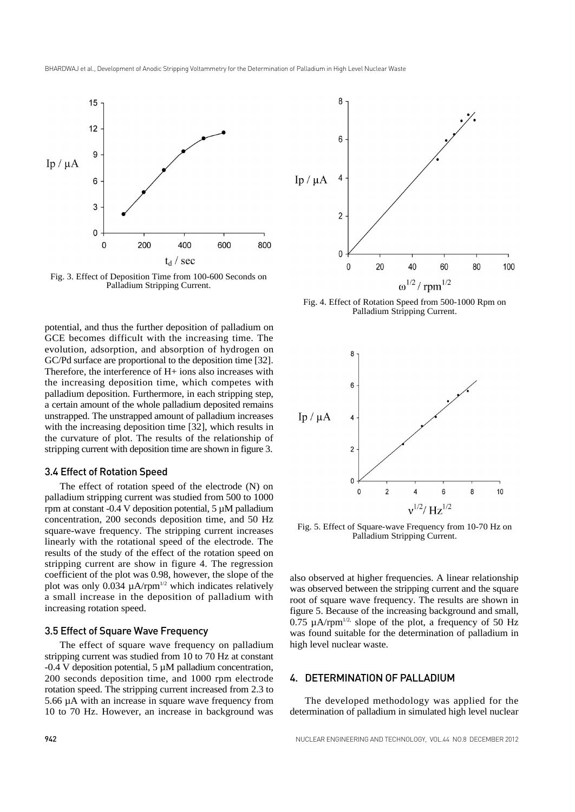

Fig. 3. Effect of Deposition Time from 100-600 Seconds on Palladium Stripping Current.

potential, and thus the further deposition of palladium on GCE becomes difficult with the increasing time. The evolution, adsorption, and absorption of hydrogen on GC/Pd surface are proportional to the deposition time [32]. Therefore, the interference of H+ ions also increases with the increasing deposition time, which competes with palladium deposition. Furthermore, in each stripping step, a certain amount of the whole palladium deposited remains unstrapped. The unstrapped amount of palladium increases with the increasing deposition time [32], which results in the curvature of plot. The results of the relationship of stripping current with deposition time are shown in figure 3.

## 3.4 Effect of Rotation Speed

The effect of rotation speed of the electrode (N) on palladium stripping current was studied from 500 to 1000 rpm at constant -0.4 V deposition potential,  $5 \mu M$  palladium concentration, 200 seconds deposition time, and 50 Hz square-wave frequency. The stripping current increases linearly with the rotational speed of the electrode. The results of the study of the effect of the rotation speed on stripping current are show in figure 4. The regression coefficient of the plot was 0.98, however, the slope of the plot was only 0.034  $\mu$ A/rpm<sup>1/2</sup> which indicates relatively a small increase in the deposition of palladium with increasing rotation speed.

## 3.5 Effect of Square Wave Frequency

The effect of square wave frequency on palladium stripping current was studied from 10 to 70 Hz at constant -0.4 V deposition potential, 5 µM palladium concentration, 200 seconds deposition time, and 1000 rpm electrode rotation speed. The stripping current increased from 2.3 to 5.66 µA with an increase in square wave frequency from 10 to 70 Hz. However, an increase in background was



Fig. 4. Effect of Rotation Speed from 500-1000 Rpm on Palladium Stripping Current.



Fig. 5. Effect of Square-wave Frequency from 10-70 Hz on Palladium Stripping Current.

also observed at higher frequencies. A linear relationship was observed between the stripping current and the square root of square wave frequency. The results are shown in figure 5. Because of the increasing background and small, 0.75  $\mu$ A/rpm<sup>1/2,</sup> slope of the plot, a frequency of 50 Hz was found suitable for the determination of palladium in high level nuclear waste.

# 4. DETERMINATION OF PALLADIUM

The developed methodology was applied for the determination of palladium in simulated high level nuclear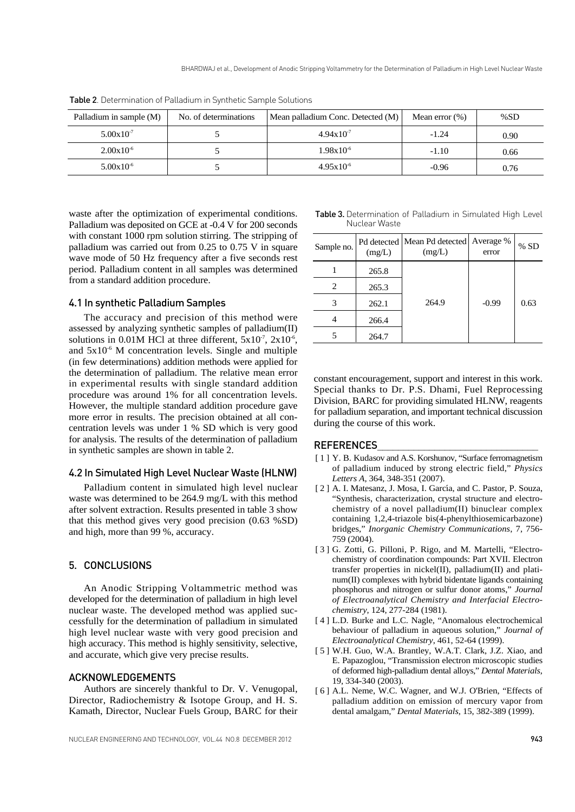| Palladium in sample (M) | No. of determinations | Mean palladium Conc. Detected (M) | Mean error $(\%)$ | % $SD$ |
|-------------------------|-----------------------|-----------------------------------|-------------------|--------|
| $5.00 \times 10^{-7}$   |                       | $4.94 \times 10^{-7}$             | $-1.24$           | 0.90   |
| $2.00 \times 10^{-6}$   |                       | $1.98x10^{-6}$                    | $-1.10$           | 0.66   |
| $5.00 \times 10^{-6}$   |                       | $4.95x10^{-6}$                    | $-0.96$           | 0.76   |

Table 2. Determination of Palladium in Synthetic Sample Solutions

waste after the optimization of experimental conditions. Palladium was deposited on GCE at -0.4 V for 200 seconds with constant 1000 rpm solution stirring. The stripping of palladium was carried out from 0.25 to 0.75 V in square wave mode of 50 Hz frequency after a five seconds rest period. Palladium content in all samples was determined from a standard addition procedure.

## 4.1 In synthetic Palladium Samples

The accuracy and precision of this method were assessed by analyzing synthetic samples of palladium(II) solutions in 0.01M HCl at three different,  $5x10^7$ ,  $2x10^6$ , and  $5x10^{-6}$  M concentration levels. Single and multiple (in few determinations) addition methods were applied for the determination of palladium. The relative mean error in experimental results with single standard addition procedure was around 1% for all concentration levels. However, the multiple standard addition procedure gave more error in results. The precision obtained at all concentration levels was under 1 % SD which is very good for analysis. The results of the determination of palladium in synthetic samples are shown in table 2.

# 4.2 In Simulated High Level Nuclear Waste (HLNW)

Palladium content in simulated high level nuclear waste was determined to be 264.9 mg/L with this method after solvent extraction. Results presented in table 3 show that this method gives very good precision (0.63 %SD) and high, more than 99 %, accuracy.

## 5. CONCLUSIONS

An Anodic Stripping Voltammetric method was developed for the determination of palladium in high level nuclear waste. The developed method was applied successfully for the determination of palladium in simulated high level nuclear waste with very good precision and high accuracy. This method is highly sensitivity, selective, and accurate, which give very precise results.

## ACKNOWLEDGEMENTS

Authors are sincerely thankful to Dr. V. Venugopal, Director, Radiochemistry & Isotope Group, and H. S. Kamath, Director, Nuclear Fuels Group, BARC for their

| Table 3. Determination of Palladium in Simulated High Level |  |  |  |
|-------------------------------------------------------------|--|--|--|
| Nuclear Waste                                               |  |  |  |

| Sample no.     | (mg/L) | Pd detected   Mean Pd detected   Average %<br>(mg/L) | error   | % SD |
|----------------|--------|------------------------------------------------------|---------|------|
|                | 265.8  |                                                      |         |      |
| $\mathfrak{D}$ | 265.3  |                                                      |         |      |
|                | 262.1  | 264.9                                                | $-0.99$ | 0.63 |
|                | 266.4  |                                                      |         |      |
|                | 264.7  |                                                      |         |      |

constant encouragement, support and interest in this work. Special thanks to Dr. P.S. Dhami, Fuel Reprocessing Division, BARC for providing simulated HLNW, reagents for palladium separation, and important technical discussion during the course of this work.

## REFERENCES

- [ 1 ] Y. B. Kudasov and A.S. Korshunov, "Surface ferromagnetism of palladium induced by strong electric field," *Physics Letters A*, 364, 348-351 (2007).
- [ 2 ] A. I. Matesanz, J. Mosa, I. García, and C. Pastor, P. Souza, "Synthesis, characterization, crystal structure and electrochemistry of a novel palladium(II) binuclear complex containing 1,2,4-triazole bis(4-phenylthiosemicarbazone) bridges," *Inorganic Chemistry Communications*, 7, 756- 759 (2004).
- [ 3 ] G. Zotti, G. Pilloni, P. Rigo, and M. Martelli, "Electrochemistry of coordination compounds: Part XVII. Electron transfer properties in nickel(II), palladium(II) and platinum(II) complexes with hybrid bidentate ligands containing phosphorus and nitrogen or sulfur donor atoms," *Journal of Electroanalytical Chemistry and Interfacial Electrochemistry*, 124, 277-284 (1981).
- [ 4 ] L.D. Burke and L.C. Nagle, "Anomalous electrochemical behaviour of palladium in aqueous solution," *Journal of Electroanalytical Chemistry*, 461, 52-64 (1999).
- [ 5 ] W.H. Guo, W.A. Brantley, W.A.T. Clark, J.Z. Xiao, and E. Papazoglou, "Transmission electron microscopic studies of deformed high-palladium dental alloys," *Dental Materials*, 19, 334-340 (2003).
- [ 6 ] A.L. Neme, W.C. Wagner, and W.J. O'Brien, "Effects of palladium addition on emission of mercury vapor from dental amalgam," *Dental Materials*, 15, 382-389 (1999).